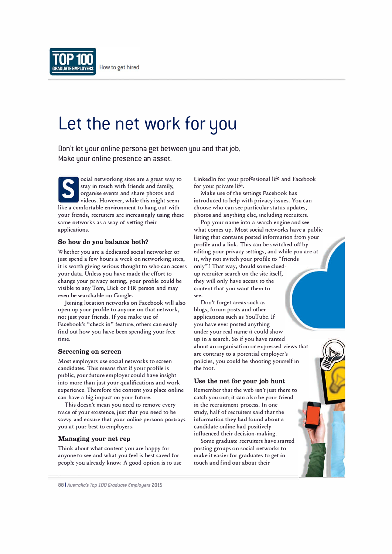

# **Let the net work for you**

Don't let your online persona get between you and that job. Make your online presence an asset.

S ocial networking sites are a great way to stay in touch with friends and family, organise events and share photos and videos. However, while this might seem like a comfortable environment to hang out with your friends, recruiters are increasingly using these same networks as a way of vetting their applications.

### **So how do you balance both?**

Whether you are a dedicated social networker or just spend a few hours a week on networking sites, it is worth giving serious thought to who can access your data. Unless you have made the effort to change your privacy setting, your profile could be visible to any Tom, Dick or HR person and may even be searchable on Google.

Joining location net<sup>w</sup>orks on Facebook will also open up your profile to anyone on that network, not just your friends. If you make use of Facebook's "check in" feature, others can easily find out how you have been spending your free time.

#### **Screening on screen**

Most employers use social networks to screen candidates. This means that if your profile is public, your future employer could have insight into more than just your qualifications and work experience. Therefore the content you place online can have a big impact on your future.

This doesn't mean you need to remove every **trace** of your existence, just that you need to be **savvy and** *ensure* **that your online persona portrays**  you at your best to employers.

## **Managing your net rep**

Think about what content you are happy for anyone to see and what you feel is best saved for people you already know. A good option is to use Linkedin for your professional life and Facebook for your private life.

Make use of the settings Facebook has introduced to help with privacy issues. You can choose who can see particular status updates, photos and anything else, including recruiters.

Pop your name into a search engine and see what comes up. Most social networks have a public listing that contains posted information from your profile and a link. This can be switched off by editing your privacy settings, and while you are at it, why not switch your profile to "friends only"? That way, should some cluedup recruiter search on the site itself, they will only have access to the content that you want them to see.

Don't forget areas such as biogs, forum posts and other applications such as YouTube. If you have ever posted anything under your real name it could show up in a search. So if you have ranted about an organisation or expressed views that are contrary to a potential employer's policies, you could be shooting yourself in the foot.

#### **Use the net for your job hunt**

Remember that the web isn't just there to catch you out; it can also be your friend in the recruitment process. In one study, half of recruiters said that the **information they had found about a**  candidate online had positively influenced their decision-making.

Some graduate recruiters have started posting groups on social networks to make it easier for graduates to get in touch and find out about their